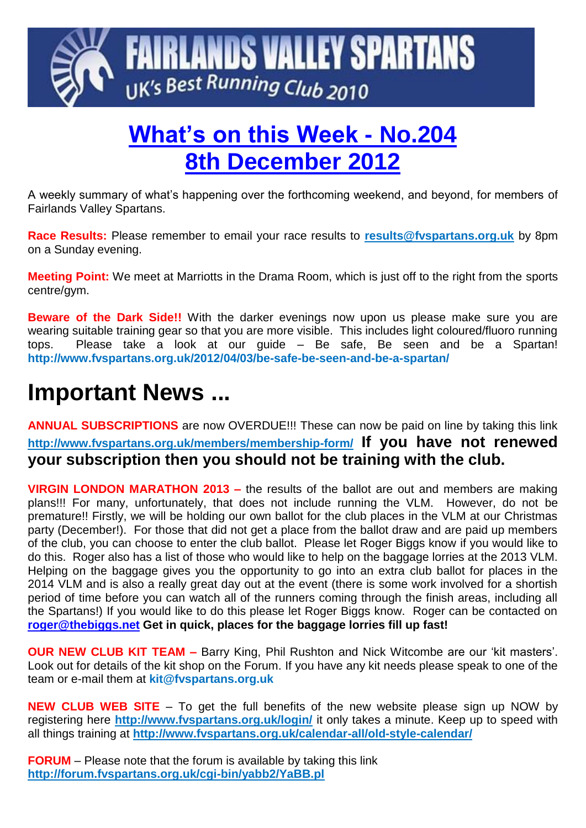

# **What's on this Week - No.204 8th December 2012**

A weekly summary of what's happening over the forthcoming weekend, and beyond, for members of Fairlands Valley Spartans.

**Race Results:** Please remember to email your race results to **[results@fvspartans.org.uk](mailto:results@fvspartans.org.uk)** by 8pm on a Sunday evening.

**Meeting Point:** We meet at Marriotts in the Drama Room, which is just off to the right from the sports centre/gym.

**Beware of the Dark Side!!** With the darker evenings now upon us please make sure you are wearing suitable training gear so that you are more visible. This includes light coloured/fluoro running tops. Please take a look at our guide – Be safe, Be seen and be a Spartan! **http://www.fvspartans.org.uk/2012/04/03/be-safe-be-seen-and-be-a-spartan/**

# **Important News ...**

**ANNUAL SUBSCRIPTIONS** are now OVERDUE!!! These can now be paid on line by taking this link **<http://www.fvspartans.org.uk/members/membership-form/> If you have not renewed your subscription then you should not be training with the club.**

**VIRGIN LONDON MARATHON 2013 –** the results of the ballot are out and members are making plans!!! For many, unfortunately, that does not include running the VLM. However, do not be premature!! Firstly, we will be holding our own ballot for the club places in the VLM at our Christmas party (December!). For those that did not get a place from the ballot draw and are paid up members of the club, you can choose to enter the club ballot. Please let Roger Biggs know if you would like to do this. Roger also has a list of those who would like to help on the baggage lorries at the 2013 VLM. Helping on the baggage gives you the opportunity to go into an extra club ballot for places in the 2014 VLM and is also a really great day out at the event (there is some work involved for a shortish period of time before you can watch all of the runners coming through the finish areas, including all the Spartans!) If you would like to do this please let Roger Biggs know. Roger can be contacted on **[roger@thebiggs.net](mailto:roger@thebiggs.net) Get in quick, places for the baggage lorries fill up fast!**

**OUR NEW CLUB KIT TEAM –** Barry King, Phil Rushton and Nick Witcombe are our 'kit masters'. Look out for details of the kit shop on the Forum. If you have any kit needs please speak to one of the team or e-mail them at **kit@fvspartans.org.uk** 

**NEW CLUB WEB SITE** – To get the full benefits of the new website please sign up NOW by registering here **<http://www.fvspartans.org.uk/login/>** it only takes a minute. Keep up to speed with all things training at **http://www.fvspartans.org.uk/calendar-all/old-style-calendar/**

**FORUM** – Please note that the forum is available by taking this link **<http://forum.fvspartans.org.uk/cgi-bin/yabb2/YaBB.pl>**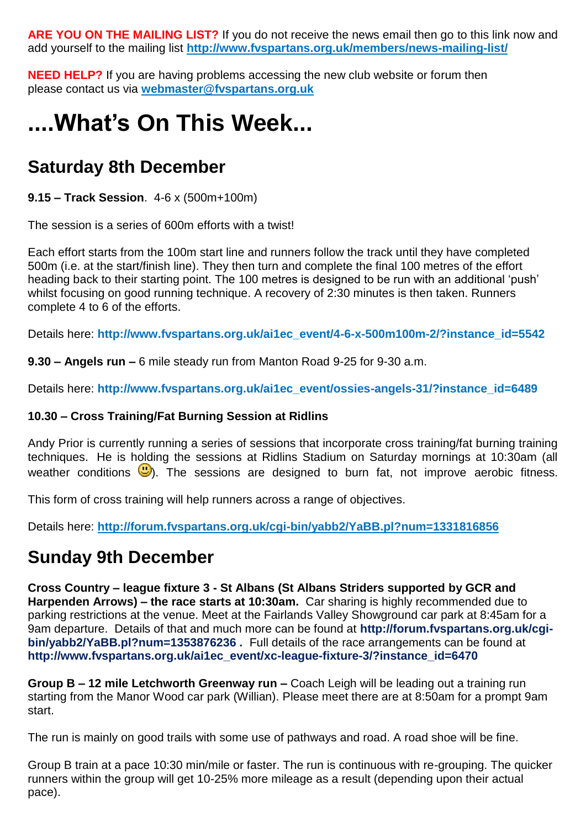**ARE YOU ON THE MAILING LIST?** If you do not receive the news email then go to this link now and add yourself to the mailing list **<http://www.fvspartans.org.uk/members/news-mailing-list/>**

**NEED HELP?** If you are having problems accessing the new club website or forum then please contact us via **[webmaster@fvspartans.org.uk](mailto:webmaster@fvspartans.org.uk)**

# **....What's On This Week...**

### **Saturday 8th December**

**9.15 – Track Session**. 4-6 x (500m+100m)

The session is a series of 600m efforts with a twist!

Each effort starts from the 100m start line and runners follow the track until they have completed 500m (i.e. at the start/finish line). They then turn and complete the final 100 metres of the effort heading back to their starting point. The 100 metres is designed to be run with an additional 'push' whilst focusing on good running technique. A recovery of 2:30 minutes is then taken. Runners complete 4 to 6 of the efforts.

Details here: **http://www.fvspartans.org.uk/ai1ec\_event/4-6-x-500m100m-2/?instance\_id=5542**

**9.30 – Angels run –** 6 mile steady run from Manton Road 9-25 for 9-30 a.m.

Details here: **http://www.fvspartans.org.uk/ai1ec\_event/ossies-angels-31/?instance\_id=6489**

#### **10.30 – Cross Training/Fat Burning Session at Ridlins**

Andy Prior is currently running a series of sessions that incorporate cross training/fat burning training techniques. He is holding the sessions at Ridlins Stadium on Saturday mornings at 10:30am (all weather conditions  $\mathbb{D}$ ). The sessions are designed to burn fat, not improve aerobic fitness.

This form of cross training will help runners across a range of objectives.

Details here: **<http://forum.fvspartans.org.uk/cgi-bin/yabb2/YaBB.pl?num=1331816856>**

### **Sunday 9th December**

**Cross Country – league fixture 3 - St Albans (St Albans Striders supported by GCR and Harpenden Arrows) – the race starts at 10:30am.** Car sharing is highly recommended due to parking restrictions at the venue. Meet at the Fairlands Valley Showground car park at 8:45am for a 9am departure. Details of that and much more can be found at **http://forum.fvspartans.org.uk/cgibin/yabb2/YaBB.pl?num=1353876236 .** Full details of the race arrangements can be found at **http://www.fvspartans.org.uk/ai1ec\_event/xc-league-fixture-3/?instance\_id=6470**

**Group B – 12 mile Letchworth Greenway run –** Coach Leigh will be leading out a training run starting from the Manor Wood car park (Willian). Please meet there are at 8:50am for a prompt 9am start.

The run is mainly on good trails with some use of pathways and road. A road shoe will be fine.

Group B train at a pace 10:30 min/mile or faster. The run is continuous with re-grouping. The quicker runners within the group will get 10-25% more mileage as a result (depending upon their actual pace).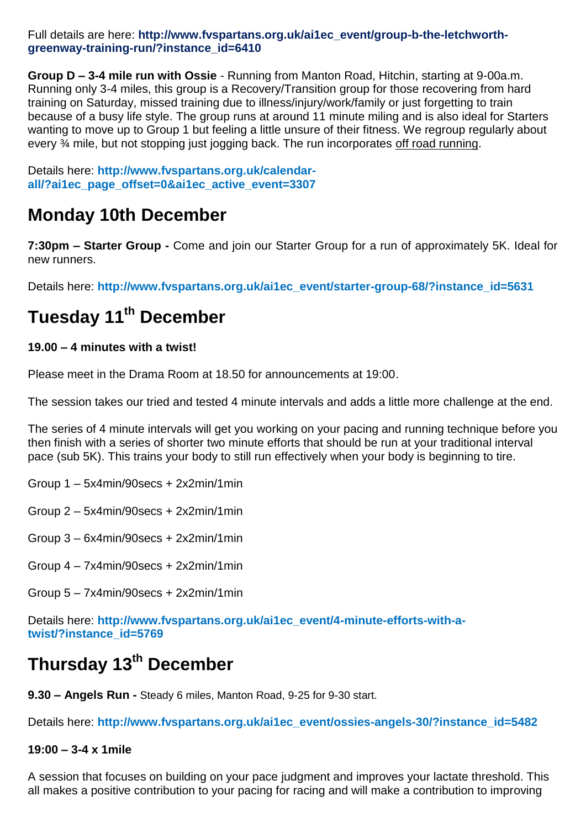Full details are here: http://www.fvspartans.org.uk/ai1ec\_event/group-b-the-letchworth**greenway-training-run/?instance\_id=6410**

**Group D – 3-4 mile run with Ossie** - Running from Manton Road, Hitchin, starting at 9-00a.m. Running only 3-4 miles, this group is a Recovery/Transition group for those recovering from hard training on Saturday, missed training due to illness/injury/work/family or just forgetting to train because of a busy life style. The group runs at around 11 minute miling and is also ideal for Starters wanting to move up to Group 1 but feeling a little unsure of their fitness. We regroup regularly about every ¾ mile, but not stopping just jogging back. The run incorporates off road running.

Details here: **http://www.fvspartans.org.uk/calendarall/?ai1ec\_page\_offset=0&ai1ec\_active\_event=3307**

#### **Monday 10th December**

**7:30pm – Starter Group -** Come and join our Starter Group for a run of approximately 5K. Ideal for new runners.

Details here: **http://www.fvspartans.org.uk/ai1ec\_event/starter-group-68/?instance\_id=5631**

## **Tuesday 11th December**

#### **19.00 – 4 minutes with a twist!**

Please meet in the Drama Room at 18.50 for announcements at 19:00.

The session takes our tried and tested 4 minute intervals and adds a little more challenge at the end.

The series of 4 minute intervals will get you working on your pacing and running technique before you then finish with a series of shorter two minute efforts that should be run at your traditional interval pace (sub 5K). This trains your body to still run effectively when your body is beginning to tire.

- Group 1 5x4min/90secs + 2x2min/1min
- Group 2 5x4min/90secs + 2x2min/1min
- Group 3 6x4min/90secs + 2x2min/1min
- Group 4 7x4min/90secs + 2x2min/1min
- Group 5 7x4min/90secs + 2x2min/1min

Details here: http://www.fvspartans.org.uk/ai1ec\_event/4-minute-efforts-with-a**twist/?instance\_id=5769**

### **Thursday 13th December**

**9.30 – Angels Run -** Steady 6 miles, Manton Road, 9-25 for 9-30 start.

Details here: **http://www.fvspartans.org.uk/ai1ec\_event/ossies-angels-30/?instance\_id=5482**

#### **19:00 – 3-4 x 1mile**

A session that focuses on building on your pace judgment and improves your lactate threshold. This all makes a positive contribution to your pacing for racing and will make a contribution to improving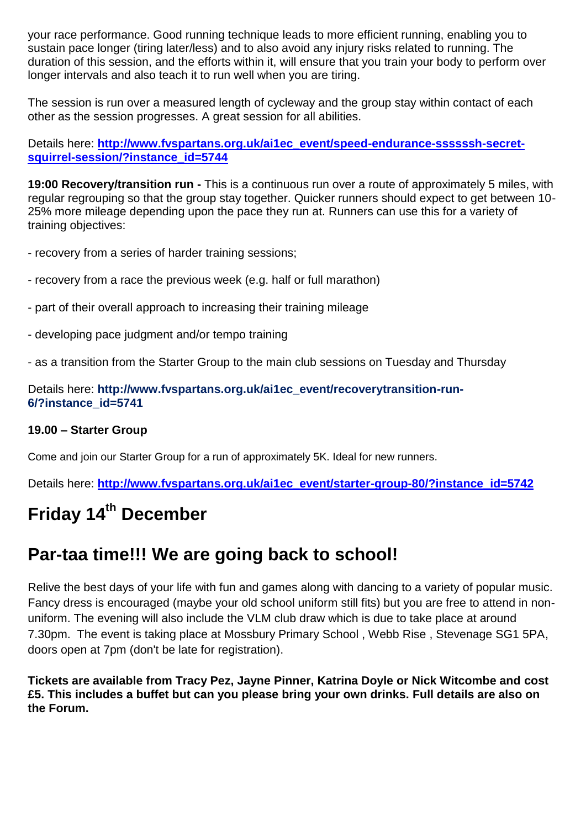your race performance. Good running technique leads to more efficient running, enabling you to sustain pace longer (tiring later/less) and to also avoid any injury risks related to running. The duration of this session, and the efforts within it, will ensure that you train your body to perform over longer intervals and also teach it to run well when you are tiring.

The session is run over a measured length of cycleway and the group stay within contact of each other as the session progresses. A great session for all abilities.

Details here: [http://www.fvspartans.org.uk/ai1ec\\_event/speed-endurance-ssssssh-secret](http://www.fvspartans.org.uk/ai1ec_event/speed-endurance-ssssssh-secret-squirrel-session/?instance_id=5744)**[squirrel-session/?instance\\_id=5744](http://www.fvspartans.org.uk/ai1ec_event/speed-endurance-ssssssh-secret-squirrel-session/?instance_id=5744)**

**19:00 Recovery/transition run -** This is a continuous run over a route of approximately 5 miles, with regular regrouping so that the group stay together. Quicker runners should expect to get between 10- 25% more mileage depending upon the pace they run at. Runners can use this for a variety of training objectives:

- recovery from a series of harder training sessions;

- recovery from a race the previous week (e.g. half or full marathon)
- part of their overall approach to increasing their training mileage
- developing pace judgment and/or tempo training
- as a transition from the Starter Group to the main club sessions on Tuesday and Thursday

Details here: **http://www.fvspartans.org.uk/ai1ec\_event/recoverytransition-run-6/?instance\_id=5741**

#### **19.00 – Starter Group**

Come and join our Starter Group for a run of approximately 5K. Ideal for new runners.

Details here: **[http://www.fvspartans.org.uk/ai1ec\\_event/starter-group-80/?instance\\_id=5742](http://www.fvspartans.org.uk/ai1ec_event/starter-group-80/?instance_id=5742)**

## **Friday 14th December**

#### **Par-taa time!!! We are going back to school!**

Relive the best days of your life with fun and games along with dancing to a variety of popular music. Fancy dress is encouraged (maybe your old school uniform still fits) but you are free to attend in nonuniform. The evening will also include the VLM club draw which is due to take place at around 7.30pm. The event is taking place at Mossbury Primary School , Webb Rise , Stevenage SG1 5PA, doors open at 7pm (don't be late for registration).

**Tickets are available from Tracy Pez, Jayne Pinner, Katrina Doyle or Nick Witcombe and cost £5. This includes a buffet but can you please bring your own drinks. Full details are also on the Forum.**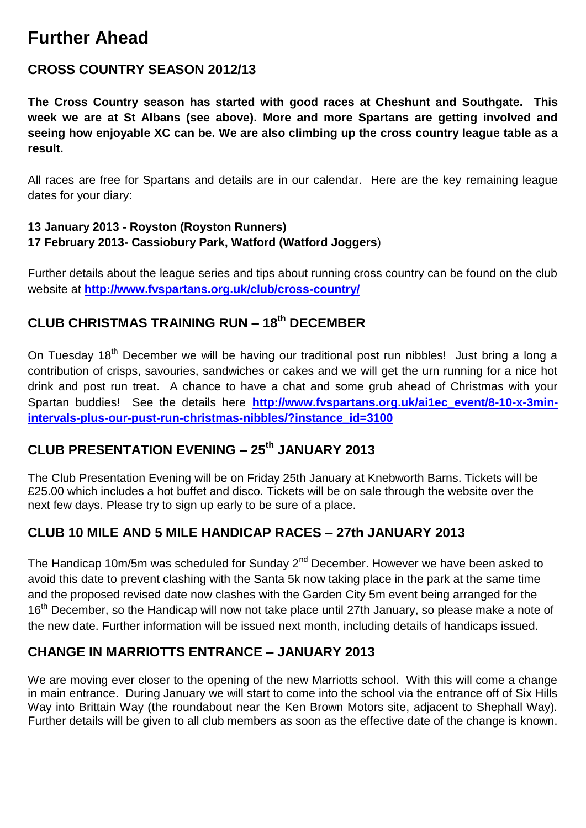### **Further Ahead**

#### **CROSS COUNTRY SEASON 2012/13**

**The Cross Country season has started with good races at Cheshunt and Southgate. This week we are at St Albans (see above). More and more Spartans are getting involved and seeing how enjoyable XC can be. We are also climbing up the cross country league table as a result.**

All races are free for Spartans and details are in our calendar. Here are the key remaining league dates for your diary:

#### **13 January 2013 - Royston (Royston Runners) 17 February 2013- Cassiobury Park, Watford (Watford Joggers**)

Further details about the league series and tips about running cross country can be found on the club website at **<http://www.fvspartans.org.uk/club/cross-country/>**

#### **CLUB CHRISTMAS TRAINING RUN – 18th DECEMBER**

On Tuesday 18<sup>th</sup> December we will be having our traditional post run nibbles! Just bring a long a contribution of crisps, savouries, sandwiches or cakes and we will get the urn running for a nice hot drink and post run treat. A chance to have a chat and some grub ahead of Christmas with your Spartan buddies! See the details here **[http://www.fvspartans.org.uk/ai1ec\\_event/8-10-x-3min](http://www.fvspartans.org.uk/ai1ec_event/8-10-x-3min-intervals-plus-our-pust-run-christmas-nibbles/?instance_id=3100)[intervals-plus-our-pust-run-christmas-nibbles/?instance\\_id=3100](http://www.fvspartans.org.uk/ai1ec_event/8-10-x-3min-intervals-plus-our-pust-run-christmas-nibbles/?instance_id=3100)**

#### **CLUB PRESENTATION EVENING – 25th JANUARY 2013**

The Club Presentation Evening will be on Friday 25th January at Knebworth Barns. Tickets will be £25.00 which includes a hot buffet and disco. Tickets will be on sale through the website over the next few days. Please try to sign up early to be sure of a place.

#### **CLUB 10 MILE AND 5 MILE HANDICAP RACES – 27th JANUARY 2013**

The Handicap 10m/5m was scheduled for Sunday 2<sup>nd</sup> December. However we have been asked to avoid this date to prevent clashing with the Santa 5k now taking place in the park at the same time and the proposed revised date now clashes with the Garden City 5m event being arranged for the 16<sup>th</sup> December, so the Handicap will now not take place until 27th January, so please make a note of the new date. Further information will be issued next month, including details of handicaps issued.

#### **CHANGE IN MARRIOTTS ENTRANCE – JANUARY 2013**

We are moving ever closer to the opening of the new Marriotts school. With this will come a change in main entrance. During January we will start to come into the school via the entrance off of Six Hills Way into Brittain Way (the roundabout near the Ken Brown Motors site, adjacent to Shephall Way). Further details will be given to all club members as soon as the effective date of the change is known.